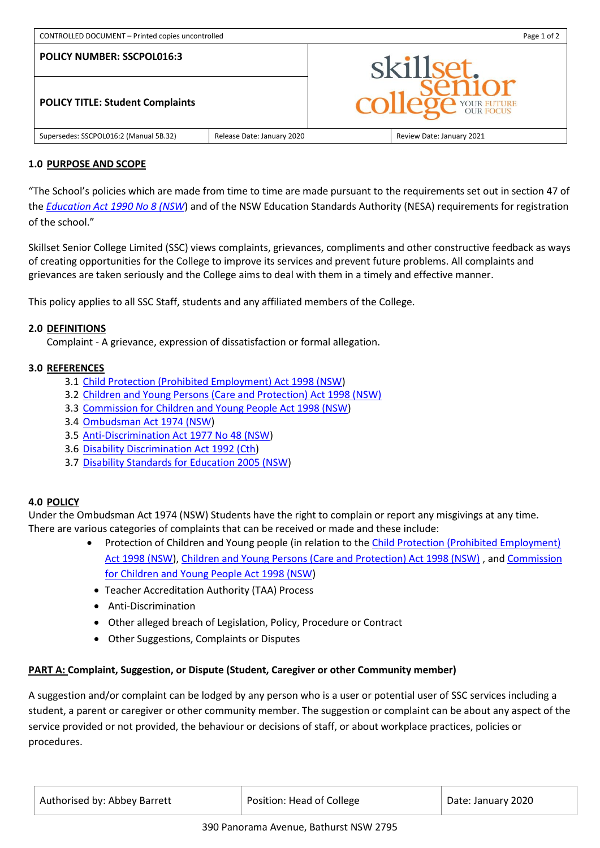| CONTROLLED DOCUMENT - Printed copies uncontrolled |                            | Page 1 of 2    |                           |
|---------------------------------------------------|----------------------------|----------------|---------------------------|
| <b>POLICY NUMBER: SSCPOL016:3</b>                 |                            | skillset.      |                           |
| <b>POLICY TITLE: Student Complaints</b>           |                            | $\overline{C}$ | <b>age</b> YOUR FUTURE    |
| Supersedes: SSCPOL016:2 (Manual 5B.32)            | Release Date: January 2020 |                | Review Date: January 2021 |

### **1.0 PURPOSE AND SCOPE**

"The School's policies which are made from time to time are made pursuant to the requirements set out in section 47 of the *[Education Act 1990 No 8 \(NSW](http://www.legislation.nsw.gov.au/)*) and of the NSW Education Standards Authority (NESA) requirements for registration of the school."

Skillset Senior College Limited (SSC) views complaints, grievances, compliments and other constructive feedback as ways of creating opportunities for the College to improve its services and prevent future problems. All complaints and grievances are taken seriously and the College aims to deal with them in a timely and effective manner.

This policy applies to all SSC Staff, students and any affiliated members of the College.

### **2.0 DEFINITIONS**

Complaint - A grievance, expression of dissatisfaction or formal allegation.

### **3.0 REFERENCES**

- 3.1 [Child Protection \(Prohibited Employment\) Act 1998 \(NSW\)](http://www.legislation.nsw.gov.au/acts/1998-147.pdf)
- 3.2 [Children and Young Persons \(Care and Protection\) Act 1998 \(NSW\)](http://www.legislation.nsw.gov.au/#/view/act/1998/157/whole)
- 3.3 [Commission for Children and Young People Act 1998 \(NSW\)](http://www.legislation.nsw.gov.au/inforce/4d329f0b-0983-e6ac-d6fd-83cb6190360e/1998-146.pdf)
- 3.4 [Ombudsman Act 1974 \(NSW\)](http://www.legislation.nsw.gov.au/#/view/act/1974/68)
- 3.5 [Anti-Discrimination Act 1977 No 48 \(NSW\)](http://www.legislation.nsw.gov.au/)
- 3.6 [Disability Discrimination Act 1992 \(Cth\)](https://www.legislation.gov.au/Details/C2016C00763)
- 3.7 [Disability Standards for Education 2005 \(NSW\)](https://www.legislation.gov.au/Details/F2005L00767)

# **4.0 POLICY**

Under the [Ombudsman Act 1974 \(NSW\)](http://www.legislation.nsw.gov.au/#/view/act/1974/68) Students have the right to complain or report any misgivings at any time. There are various categories of complaints that can be received or made and these include:

- Protection of Children and Young people (in relation to the [Child Protection \(Prohibited Employment\)](http://www.legislation.nsw.gov.au/acts/1998-147.pdf) [Act 1998 \(NSW\)](http://www.legislation.nsw.gov.au/acts/1998-147.pdf), [Children and Young Persons \(Care and Protection\) Act 1998 \(NSW\)](http://www.legislation.nsw.gov.au/#/view/act/1998/157/whole) , an[d Commission](http://www.legislation.nsw.gov.au/inforce/4d329f0b-0983-e6ac-d6fd-83cb6190360e/1998-146.pdf)  [for Children and Young People Act 1998 \(NSW\)](http://www.legislation.nsw.gov.au/inforce/4d329f0b-0983-e6ac-d6fd-83cb6190360e/1998-146.pdf)
	- Teacher Accreditation Authority (TAA) Process
	- Anti-Discrimination
	- Other alleged breach of Legislation, Policy, Procedure or Contract
	- Other Suggestions, Complaints or Disputes

# **PART A: Complaint, Suggestion, or Dispute (Student, Caregiver or other Community member)**

A suggestion and/or complaint can be lodged by any person who is a user or potential user of SSC services including a student, a parent or caregiver or other community member. The suggestion or complaint can be about any aspect of the service provided or not provided, the behaviour or decisions of staff, or about workplace practices, policies or procedures.

| Authorised by: Abbey Barrett | Position: Head of College | Date: January 2020 |
|------------------------------|---------------------------|--------------------|
|                              |                           |                    |